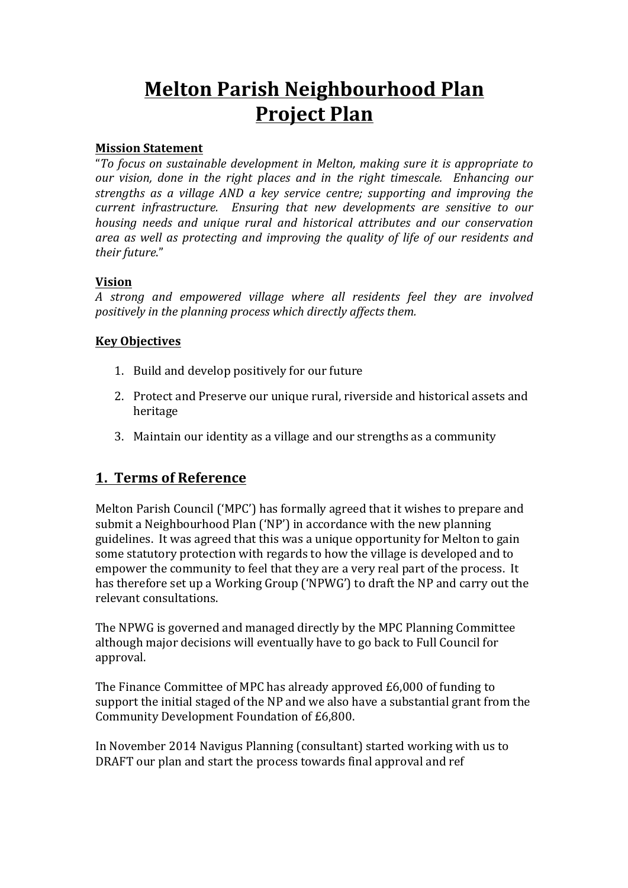# **Melton Parish Neighbourhood Plan Project Plan**

#### **Mission Statement**

"To focus on sustainable development in Melton, making sure it is appropriate to *our* vision, done in the right places and in the right timescale. Enhancing our *strengths* as a village AND a key service centre; supporting and improving the *current infrastructure.* Ensuring that new developments are sensitive to our *housing needs and unique rural and historical attributes and our conservation area as well as protecting and improving the quality of life of our residents and their future*."

#### **Vision**

*A strong and empowered village where all residents feel they are involved positively in the planning process which directly affects them.* 

#### **Key Objectives**

- 1. Build and develop positively for our future
- 2. Protect and Preserve our unique rural, riverside and historical assets and heritage
- 3. Maintain our identity as a village and our strengths as a community

#### **1. Terms of Reference**

Melton Parish Council ('MPC') has formally agreed that it wishes to prepare and submit a Neighbourhood Plan ('NP') in accordance with the new planning guidelines. It was agreed that this was a unique opportunity for Melton to gain some statutory protection with regards to how the village is developed and to empower the community to feel that they are a very real part of the process. It has therefore set up a Working Group ('NPWG') to draft the NP and carry out the relevant consultations.

The NPWG is governed and managed directly by the MPC Planning Committee although major decisions will eventually have to go back to Full Council for approval.

The Finance Committee of MPC has already approved £6,000 of funding to support the initial staged of the NP and we also have a substantial grant from the Community Development Foundation of £6,800.

In November 2014 Navigus Planning (consultant) started working with us to DRAFT our plan and start the process towards final approval and ref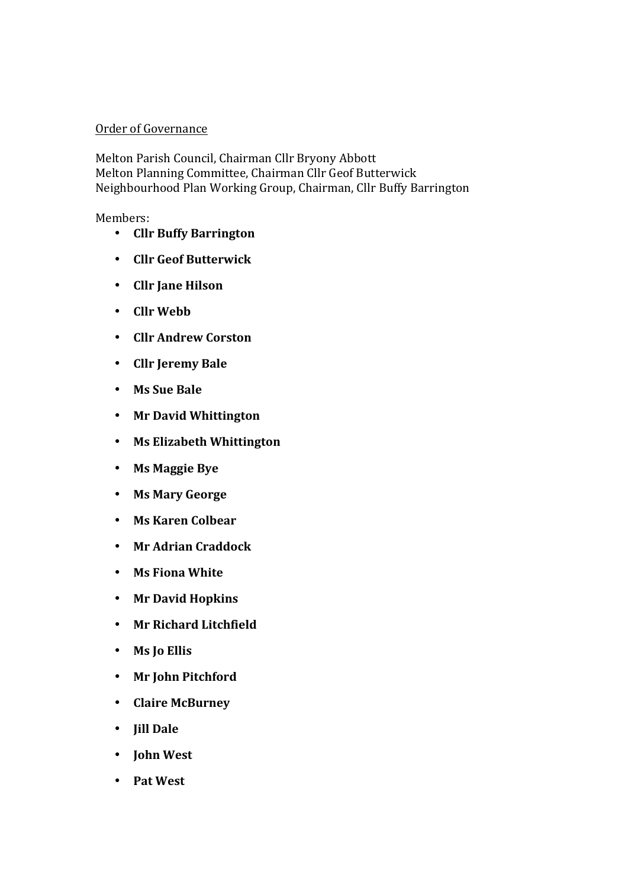#### Order of Governance

Melton Parish Council, Chairman Cllr Bryony Abbott Melton Planning Committee, Chairman Cllr Geof Butterwick Neighbourhood Plan Working Group, Chairman, Cllr Buffy Barrington

Members:

- **Cllr Buffy Barrington**
- **Cllr Geof Butterwick**
- **Cllr Jane Hilson**
- **Cllr Webb**
- **Cllr Andrew Corston**
- **Cllr Jeremy Bale**
- **Ms Sue Bale**
- **Mr David Whittington**
- **Ms Elizabeth Whittington**
- **Ms Maggie Bye**
- **Ms Mary George**
- **Ms Karen Colbear**
- **Mr Adrian Craddock**
- **Ms Fiona White**
- **Mr David Hopkins**
- **Mr Richard Litchfield**
- **Ms Jo Ellis**
- **Mr John Pitchford**
- **Claire McBurney**
- **Jill Dale**
- **John West**
- **Pat West**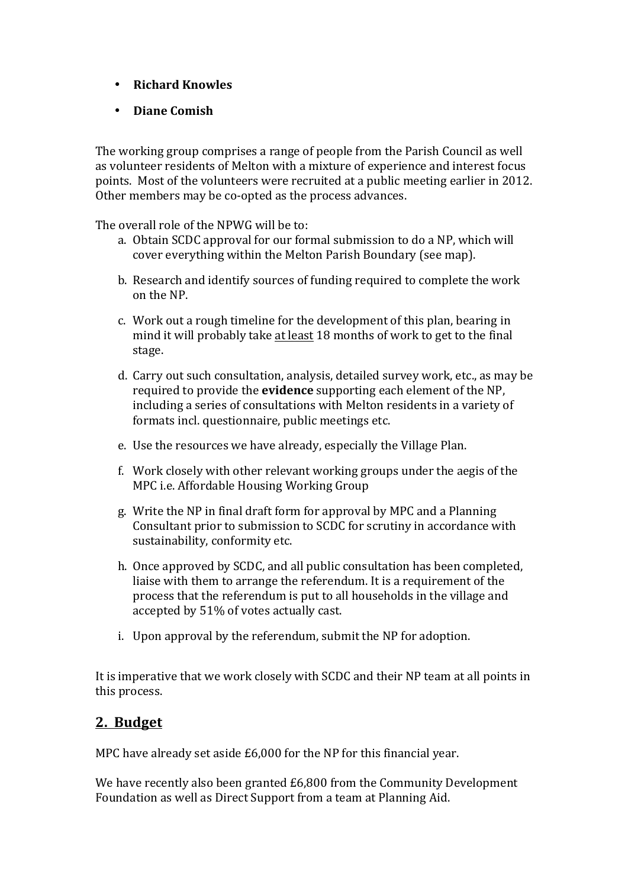- **Richard Knowles**
- **Diane Comish**

The working group comprises a range of people from the Parish Council as well as volunteer residents of Melton with a mixture of experience and interest focus points. Most of the volunteers were recruited at a public meeting earlier in 2012. Other members may be co-opted as the process advances.

The overall role of the NPWG will be to:

- a. Obtain SCDC approval for our formal submission to do a NP, which will cover everything within the Melton Parish Boundary (see map).
- b. Research and identify sources of funding required to complete the work on the NP.
- c. Work out a rough timeline for the development of this plan, bearing in mind it will probably take at least 18 months of work to get to the final stage.
- d. Carry out such consultation, analysis, detailed survey work, etc., as may be required to provide the **evidence** supporting each element of the NP. including a series of consultations with Melton residents in a variety of formats incl. questionnaire, public meetings etc.
- e. Use the resources we have already, especially the Village Plan.
- f. Work closely with other relevant working groups under the aegis of the MPC i.e. Affordable Housing Working Group
- g. Write the NP in final draft form for approval by MPC and a Planning Consultant prior to submission to SCDC for scrutiny in accordance with sustainability, conformity etc.
- h. Once approved by SCDC, and all public consultation has been completed, liaise with them to arrange the referendum. It is a requirement of the process that the referendum is put to all households in the village and accepted by 51% of votes actually cast.
- i. Upon approval by the referendum, submit the NP for adoption.

It is imperative that we work closely with SCDC and their NP team at all points in this process.

### **2. Budget**

MPC have already set aside  $£6,000$  for the NP for this financial year.

We have recently also been granted  $£6,800$  from the Community Development Foundation as well as Direct Support from a team at Planning Aid.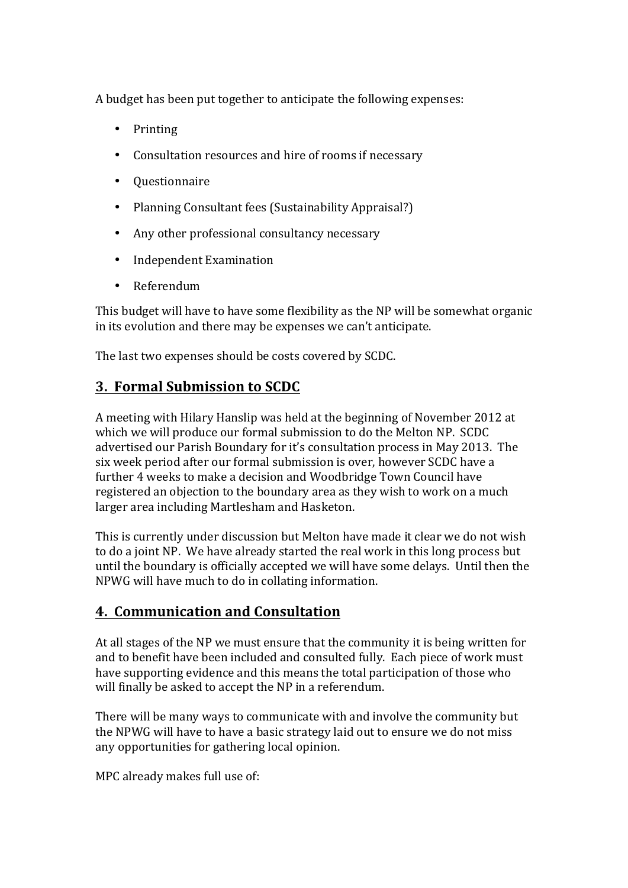A budget has been put together to anticipate the following expenses:

- Printing
- Consultation resources and hire of rooms if necessary
- Questionnaire
- Planning Consultant fees (Sustainability Appraisal?)
- Any other professional consultancy necessary
- Independent Examination
- Referendum

This budget will have to have some flexibility as the NP will be somewhat organic in its evolution and there may be expenses we can't anticipate.

The last two expenses should be costs covered by SCDC.

# **3. Formal Submission to SCDC**

A meeting with Hilary Hanslip was held at the beginning of November 2012 at which we will produce our formal submission to do the Melton NP. SCDC advertised our Parish Boundary for it's consultation process in May 2013. The six week period after our formal submission is over, however SCDC have a further 4 weeks to make a decision and Woodbridge Town Council have registered an objection to the boundary area as they wish to work on a much larger area including Martlesham and Hasketon.

This is currently under discussion but Melton have made it clear we do not wish to do a joint NP. We have already started the real work in this long process but until the boundary is officially accepted we will have some delays. Until then the NPWG will have much to do in collating information.

### **4. Communication and Consultation**

At all stages of the NP we must ensure that the community it is being written for and to benefit have been included and consulted fully. Each piece of work must have supporting evidence and this means the total participation of those who will finally be asked to accept the NP in a referendum.

There will be many ways to communicate with and involve the community but the NPWG will have to have a basic strategy laid out to ensure we do not miss any opportunities for gathering local opinion.

MPC already makes full use of: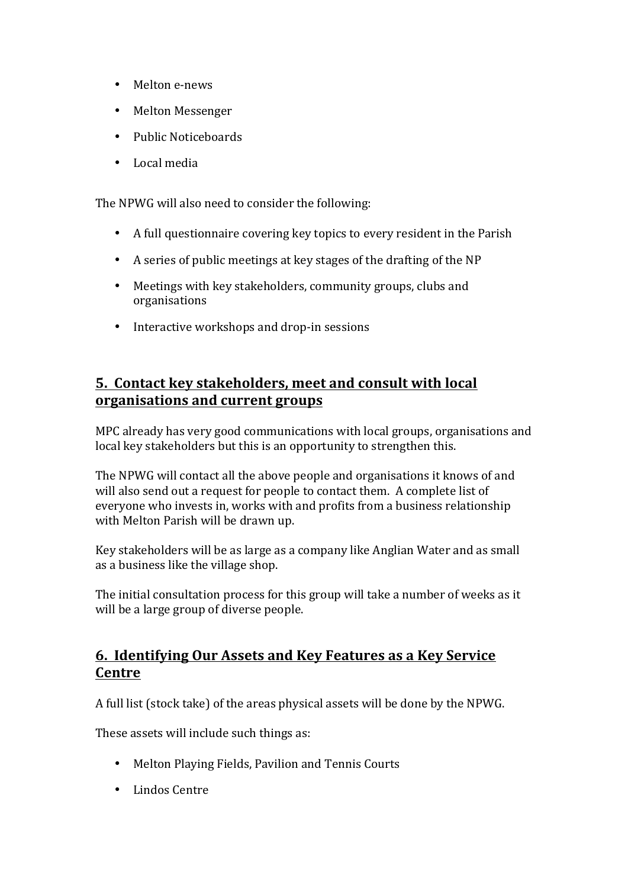- Melton e-news
- Melton Messenger
- Public Noticeboards
- Local media

The NPWG will also need to consider the following:

- A full questionnaire covering key topics to every resident in the Parish
- A series of public meetings at key stages of the drafting of the NP
- Meetings with key stakeholders, community groups, clubs and organisations
- Interactive workshops and drop-in sessions

#### **<u>5. Contact key stakeholders, meet and consult with local</u> organisations and current groups**

MPC already has very good communications with local groups, organisations and local key stakeholders but this is an opportunity to strengthen this.

The NPWG will contact all the above people and organisations it knows of and will also send out a request for people to contact them. A complete list of everyone who invests in, works with and profits from a business relationship with Melton Parish will be drawn up.

Key stakeholders will be as large as a company like Anglian Water and as small as a business like the village shop.

The initial consultation process for this group will take a number of weeks as it will be a large group of diverse people.

#### **6. Identifying Our Assets and Key Features as a Key Service Centre**

A full list (stock take) of the areas physical assets will be done by the NPWG.

These assets will include such things as:

- Melton Playing Fields, Pavilion and Tennis Courts
- Lindos Centre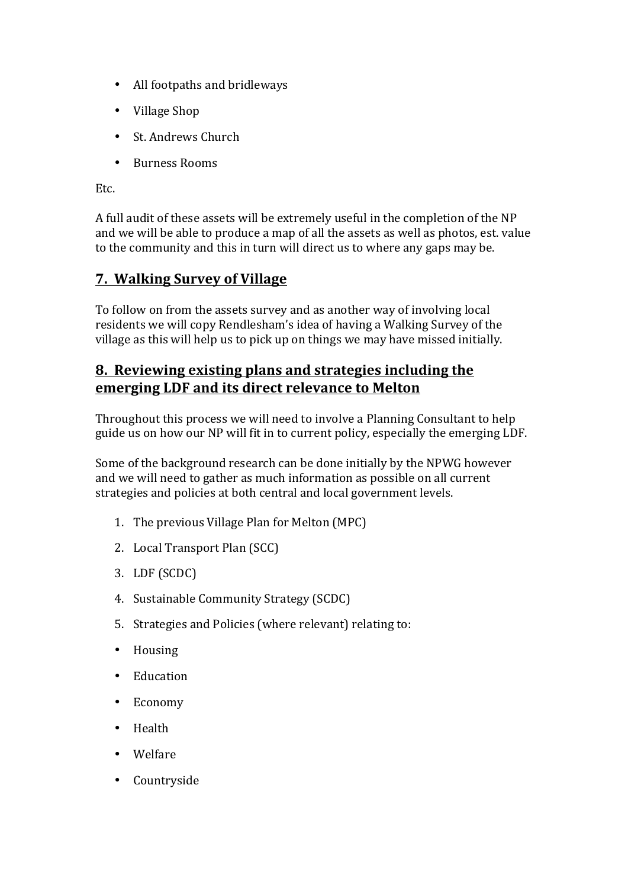- All footpaths and bridleways
- Village Shop
- St. Andrews Church
- Burness Rooms

Etc.

A full audit of these assets will be extremely useful in the completion of the NP and we will be able to produce a map of all the assets as well as photos, est. value to the community and this in turn will direct us to where any gaps may be.

#### **7. Walking Survey of Village**

To follow on from the assets survey and as another way of involving local residents we will copy Rendlesham's idea of having a Walking Survey of the village as this will help us to pick up on things we may have missed initially.

# **8. Reviewing existing plans and strategies including the emerging LDF and its direct relevance to Melton**

Throughout this process we will need to involve a Planning Consultant to help guide us on how our NP will fit in to current policy, especially the emerging LDF.

Some of the background research can be done initially by the NPWG however and we will need to gather as much information as possible on all current strategies and policies at both central and local government levels.

- 1. The previous Village Plan for Melton (MPC)
- 2. Local Transport Plan (SCC)
- 3. LDF (SCDC)
- 4. Sustainable Community Strategy (SCDC)
- 5. Strategies and Policies (where relevant) relating to:
- Housing
- Education
- Economy
- Health
- Welfare
- Countryside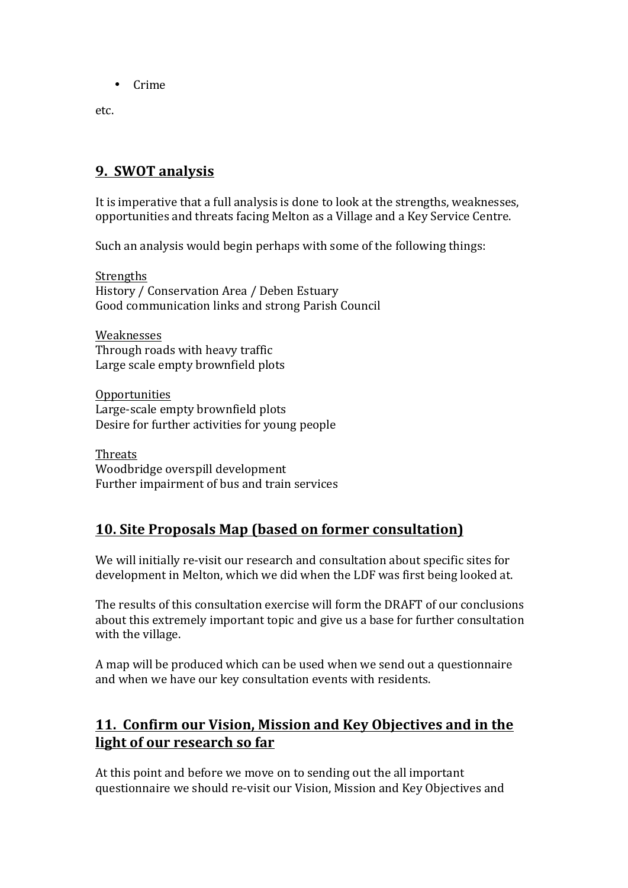• Crime

etc.

### **9. SWOT analysis**

It is imperative that a full analysis is done to look at the strengths, weaknesses, opportunities and threats facing Melton as a Village and a Key Service Centre.

Such an analysis would begin perhaps with some of the following things:

**Strengths** History / Conservation Area / Deben Estuary Good communication links and strong Parish Council

Weaknesses Through roads with heavy traffic Large scale empty brownfield plots

Opportunities Large-scale empty brownfield plots Desire for further activities for young people

Threats Woodbridge overspill development Further impairment of bus and train services

### **10. Site Proposals Map (based on former consultation)**

We will initially re-visit our research and consultation about specific sites for development in Melton, which we did when the LDF was first being looked at.

The results of this consultation exercise will form the DRAFT of our conclusions about this extremely important topic and give us a base for further consultation with the village.

A map will be produced which can be used when we send out a questionnaire and when we have our key consultation events with residents.

## 11. Confirm our Vision, Mission and Key Objectives and in the **light of our research so far**

At this point and before we move on to sending out the all important questionnaire we should re-visit our Vision, Mission and Key Objectives and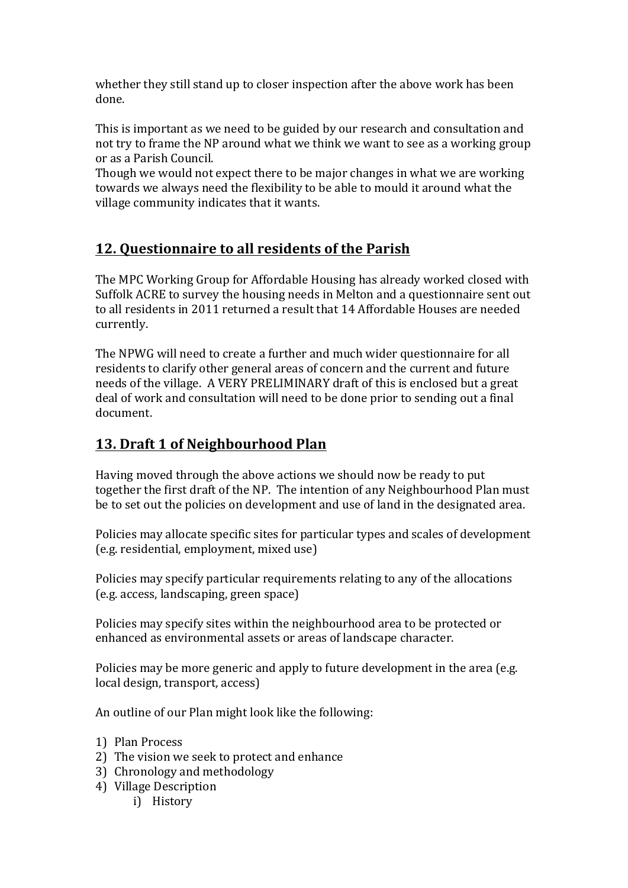whether they still stand up to closer inspection after the above work has been done.

This is important as we need to be guided by our research and consultation and not try to frame the NP around what we think we want to see as a working group or as a Parish Council.

Though we would not expect there to be major changes in what we are working towards we always need the flexibility to be able to mould it around what the village community indicates that it wants.

# **12. Questionnaire to all residents of the Parish**

The MPC Working Group for Affordable Housing has already worked closed with Suffolk ACRE to survey the housing needs in Melton and a questionnaire sent out to all residents in 2011 returned a result that 14 Affordable Houses are needed currently.

The NPWG will need to create a further and much wider questionnaire for all residents to clarify other general areas of concern and the current and future needs of the village. A VERY PRELIMINARY draft of this is enclosed but a great deal of work and consultation will need to be done prior to sending out a final document.

# **13. Draft 1 of Neighbourhood Plan**

Having moved through the above actions we should now be ready to put together the first draft of the NP. The intention of any Neighbourhood Plan must be to set out the policies on development and use of land in the designated area.

Policies may allocate specific sites for particular types and scales of development (e.g. residential, employment, mixed use)

Policies may specify particular requirements relating to any of the allocations (e.g. access, landscaping, green space)

Policies may specify sites within the neighbourhood area to be protected or enhanced as environmental assets or areas of landscape character.

Policies may be more generic and apply to future development in the area (e.g. local design, transport, access)

An outline of our Plan might look like the following:

- 1) Plan Process
- 2) The vision we seek to protect and enhance
- 3) Chronology and methodology
- 4) Village Description
	- i) History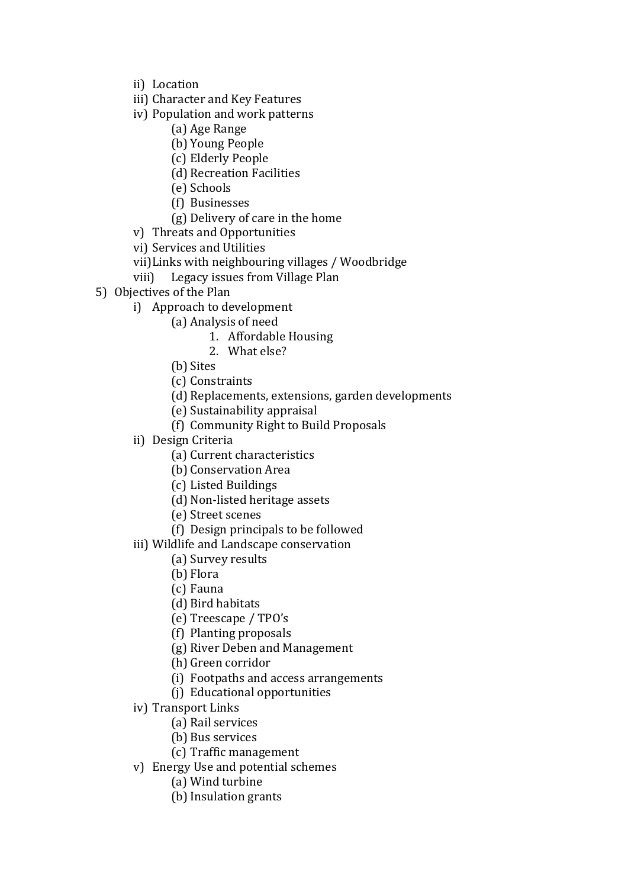- ii) Location
- iii) Character and Key Features
- iv) Population and work patterns
	- (a) Age Range
	- (b) Young People
	- (c) Elderly People
	- (d) Recreation Facilities
	- (e) Schools
	- (f) Businesses
	- (g) Delivery of care in the home
- v) Threats and Opportunities
- vi) Services and Utilities
- vii) Links with neighbouring villages / Woodbridge
- viii) Legacy issues from Village Plan
- 5) Objectives of the Plan
	- i) Approach to development
		- (a) Analysis of need
			- 1. Affordable Housing
			- 2. What else?
		- (b) Sites
		- (c) Constraints
		- (d) Replacements, extensions, garden developments
		- (e) Sustainability appraisal
		- (f) Community Right to Build Proposals
	- ii) Design Criteria
		- (a) Current characteristics
		- (b) Conservation Area
		- (c) Listed Buildings
		- (d) Non-listed heritage assets
		- (e) Street scenes
		- (f) Design principals to be followed
	- iii) Wildlife and Landscape conservation
		- (a) Survey results
		- (b) Flora
		- (c) Fauna
		- (d) Bird habitats
		- (e) Treescape / TPO's
		- (f) Planting proposals
		- (g) River Deben and Management
		- (h) Green corridor
		- (i) Footpaths and access arrangements
		- (j) Educational opportunities
	- iv) Transport Links
		- (a) Rail services
		- (b) Bus services
		- (c) Traffic management
	- v) Energy Use and potential schemes
		- (a) Wind turbine
		- (b) Insulation grants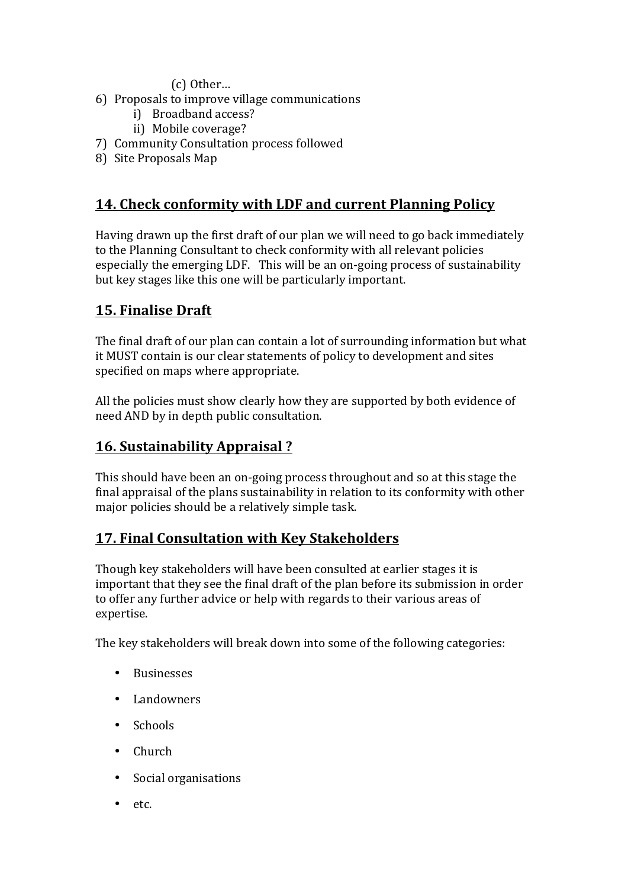(c) Other…

- 6) Proposals to improve village communications
	- i) Broadband access?
	- ii) Mobile coverage?
- 7) Community Consultation process followed
- 8) Site Proposals Map

# 14. Check conformity with LDF and current Planning Policy

Having drawn up the first draft of our plan we will need to go back immediately to the Planning Consultant to check conformity with all relevant policies especially the emerging LDF. This will be an on-going process of sustainability but key stages like this one will be particularly important.

# **15. Finalise Draft**

The final draft of our plan can contain a lot of surrounding information but what it MUST contain is our clear statements of policy to development and sites specified on maps where appropriate.

All the policies must show clearly how they are supported by both evidence of need AND by in depth public consultation.

## **16. Sustainability Appraisal?**

This should have been an on-going process throughout and so at this stage the final appraisal of the plans sustainability in relation to its conformity with other major policies should be a relatively simple task.

### **17. Final Consultation with Key Stakeholders**

Though key stakeholders will have been consulted at earlier stages it is important that they see the final draft of the plan before its submission in order to offer any further advice or help with regards to their various areas of expertise.

The key stakeholders will break down into some of the following categories:

- Businesses
- Landowners
- Schools
- Church
- Social organisations
- etc.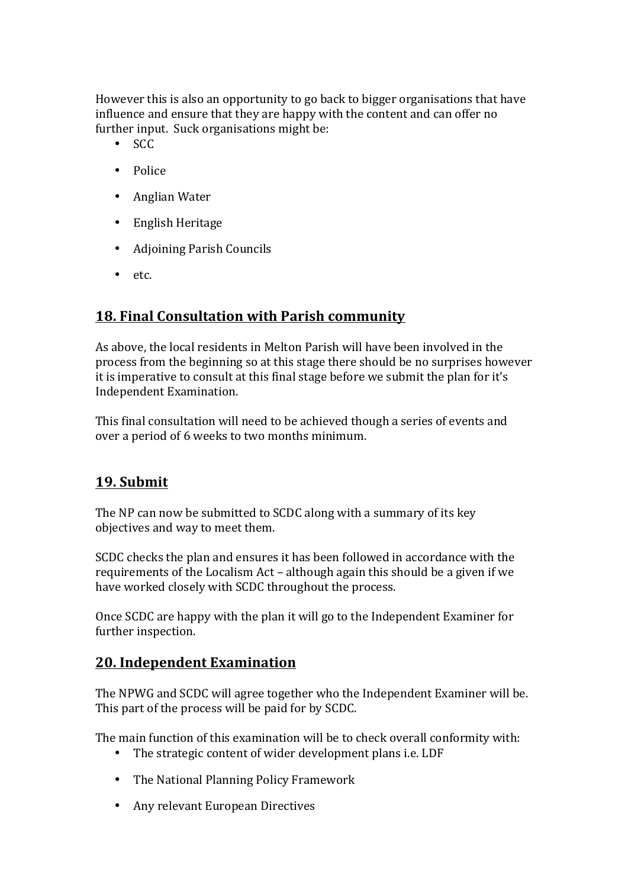However this is also an opportunity to go back to bigger organisations that have influence and ensure that they are happy with the content and can offer no further input. Suck organisations might be:

- SCC
- Police
- Anglian Water
- English Heritage
- Adjoining Parish Councils
- etc.

### **18. Final Consultation with Parish community**

As above, the local residents in Melton Parish will have been involved in the process from the beginning so at this stage there should be no surprises however it is imperative to consult at this final stage before we submit the plan for it's Independent Examination.

This final consultation will need to be achieved though a series of events and over a period of 6 weeks to two months minimum.

### **19. Submit**

The NP can now be submitted to SCDC along with a summary of its key objectives and way to meet them.

SCDC checks the plan and ensures it has been followed in accordance with the requirements of the Localism  $Act$  – although again this should be a given if we have worked closely with SCDC throughout the process.

Once SCDC are happy with the plan it will go to the Independent Examiner for further inspection.

#### **20. Independent Examination**

The NPWG and SCDC will agree together who the Independent Examiner will be. This part of the process will be paid for by SCDC.

The main function of this examination will be to check overall conformity with:

- The strategic content of wider development plans i.e. LDF
- The National Planning Policy Framework
- Any relevant European Directives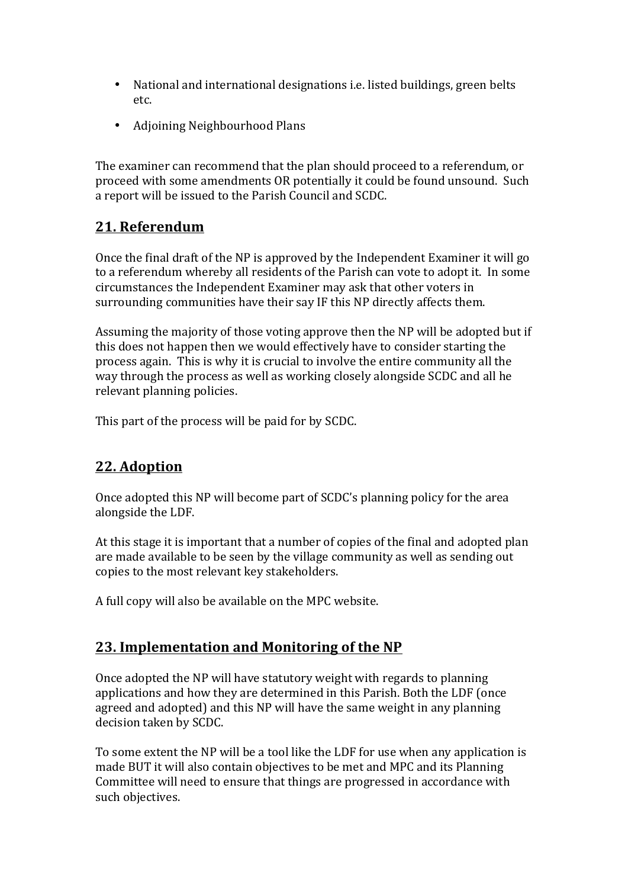- National and international designations i.e. listed buildings, green belts etc.
- Adjoining Neighbourhood Plans

The examiner can recommend that the plan should proceed to a referendum, or proceed with some amendments OR potentially it could be found unsound. Such a report will be issued to the Parish Council and SCDC.

# **21. Referendum**

Once the final draft of the NP is approved by the Independent Examiner it will go to a referendum whereby all residents of the Parish can vote to adopt it. In some circumstances the Independent Examiner may ask that other voters in surrounding communities have their say IF this NP directly affects them.

Assuming the majority of those voting approve then the NP will be adopted but if this does not happen then we would effectively have to consider starting the process again. This is why it is crucial to involve the entire community all the way through the process as well as working closely alongside SCDC and all he relevant planning policies.

This part of the process will be paid for by SCDC.

### **22. Adoption**

Once adopted this NP will become part of SCDC's planning policy for the area alongside the LDF.

At this stage it is important that a number of copies of the final and adopted plan are made available to be seen by the village community as well as sending out copies to the most relevant key stakeholders.

A full copy will also be available on the MPC website.

### **23. Implementation and Monitoring of the NP**

Once adopted the NP will have statutory weight with regards to planning applications and how they are determined in this Parish. Both the LDF (once agreed and adopted) and this NP will have the same weight in any planning decision taken by SCDC.

To some extent the NP will be a tool like the LDF for use when any application is made BUT it will also contain objectives to be met and MPC and its Planning Committee will need to ensure that things are progressed in accordance with such objectives.